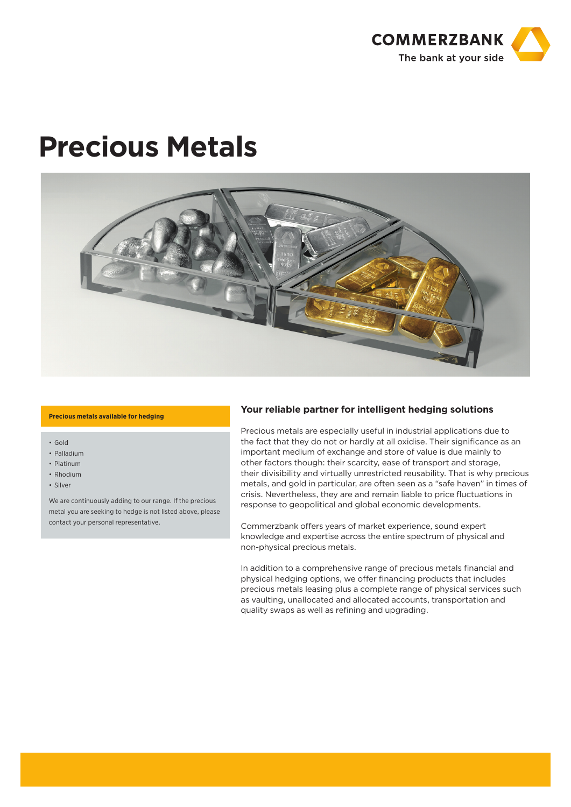

# **Precious Metals**



#### **Precious metals available for hedging**

- Gold
- Palladium
- Platinum
- Rhodium
- Silver

We are continuously adding to our range. If the precious metal you are seeking to hedge is not listed above, please contact your personal representative.

## **Your reliable partner for intelligent hedging solutions**

Precious metals are especially useful in industrial applications due to the fact that they do not or hardly at all oxidise. Their significance as an important medium of exchange and store of value is due mainly to other factors though: their scarcity, ease of transport and storage, their divisibility and virtually unrestricted reusability. That is why precious metals, and gold in particular, are often seen as a "safe haven" in times of crisis. Nevertheless, they are and remain liable to price fluctuations in response to geopolitical and global economic developments.

Commerzbank offers years of market experience, sound expert knowledge and expertise across the entire spectrum of physical and non-physical precious metals.

In addition to a comprehensive range of precious metals financial and physical hedging options, we offer financing products that includes precious metals leasing plus a complete range of physical services such as vaulting, unallocated and allocated accounts, transportation and quality swaps as well as refining and upgrading.